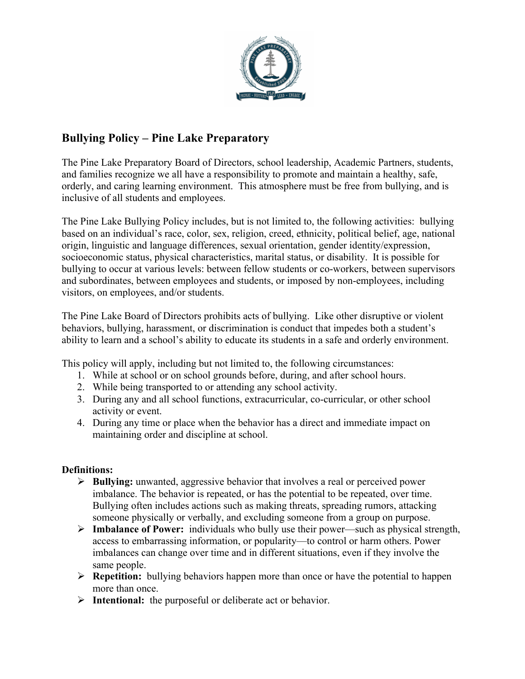

# **Bullying Policy – Pine Lake Preparatory**

The Pine Lake Preparatory Board of Directors, school leadership, Academic Partners, students, and families recognize we all have a responsibility to promote and maintain a healthy, safe, orderly, and caring learning environment. This atmosphere must be free from bullying, and is inclusive of all students and employees.

The Pine Lake Bullying Policy includes, but is not limited to, the following activities: bullying based on an individual's race, color, sex, religion, creed, ethnicity, political belief, age, national origin, linguistic and language differences, sexual orientation, gender identity/expression, socioeconomic status, physical characteristics, marital status, or disability. It is possible for bullying to occur at various levels: between fellow students or co-workers, between supervisors and subordinates, between employees and students, or imposed by non-employees, including visitors, on employees, and/or students.

The Pine Lake Board of Directors prohibits acts of bullying. Like other disruptive or violent behaviors, bullying, harassment, or discrimination is conduct that impedes both a student's ability to learn and a school's ability to educate its students in a safe and orderly environment.

This policy will apply, including but not limited to, the following circumstances:

- 1. While at school or on school grounds before, during, and after school hours.
- 2. While being transported to or attending any school activity.
- 3. During any and all school functions, extracurricular, co-curricular, or other school activity or event.
- 4. During any time or place when the behavior has a direct and immediate impact on maintaining order and discipline at school.

### **Definitions:**

- Ø **Bullying:** unwanted, aggressive behavior that involves a real or perceived power imbalance. The behavior is repeated, or has the potential to be repeated, over time. Bullying often includes actions such as making threats, spreading rumors, attacking someone physically or verbally, and excluding someone from a group on purpose.
- Ø **Imbalance of Power:** individuals who bully use their power—such as physical strength, access to embarrassing information, or popularity—to control or harm others. Power imbalances can change over time and in different situations, even if they involve the same people.
- Ø **Repetition:** bullying behaviors happen more than once or have the potential to happen more than once.
- Ø **Intentional:** the purposeful or deliberate act or behavior.